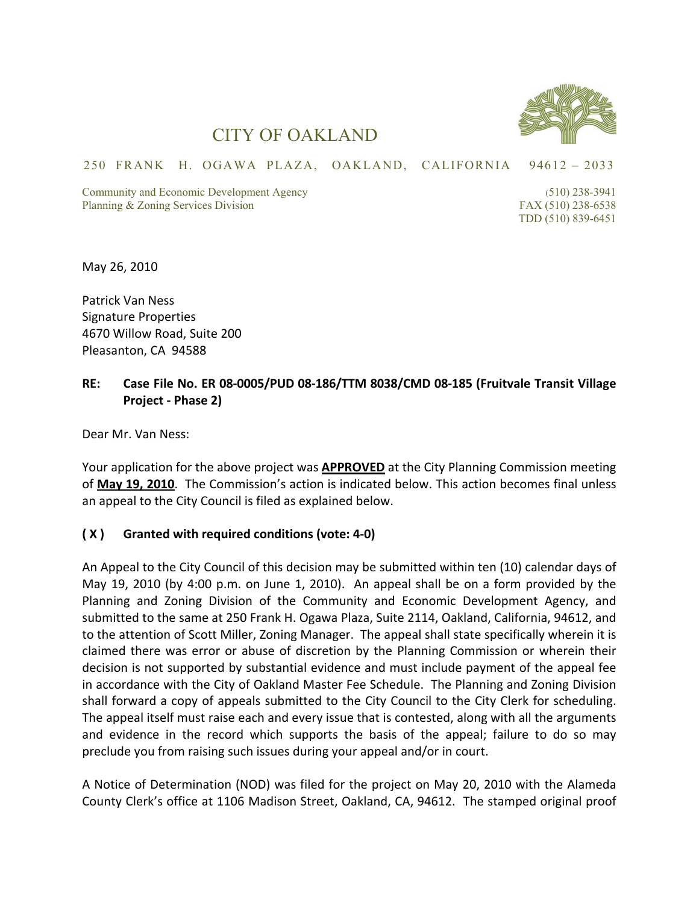

## CITY OF OAKLAND

## 250 FRANK H. OGAWA PLAZA, OAKLAND, CALIFORNIA 94612 – 2033

Community and Economic Development Agency (510) 238-3941 Planning & Zoning Services Division FAX (510) 238-6538

TDD (510) 839-6451

May 26, 2010

Patrick Van Ness Signature Properties 4670 Willow Road, Suite 200 Pleasanton, CA 94588

## **RE: Case File No. ER 08‐0005/PUD 08‐186/TTM 8038/CMD 08‐185 (Fruitvale Transit Village Project ‐ Phase 2)**

Dear Mr. Van Ness:

Your application for the above project was **APPROVED** at the City Planning Commission meeting of **May 19, 2010**. The Commission's action is indicated below. This action becomes final unless an appeal to the City Council is filed as explained below.

## **( X ) Granted with required conditions (vote: 4‐0)**

An Appeal to the City Council of this decision may be submitted within ten (10) calendar days of May 19, 2010 (by 4:00 p.m. on June 1, 2010). An appeal shall be on a form provided by the Planning and Zoning Division of the Community and Economic Development Agency, and submitted to the same at 250 Frank H. Ogawa Plaza, Suite 2114, Oakland, California, 94612, and to the attention of Scott Miller, Zoning Manager. The appeal shall state specifically wherein it is claimed there was error or abuse of discretion by the Planning Commission or wherein their decision is not supported by substantial evidence and must include payment of the appeal fee in accordance with the City of Oakland Master Fee Schedule. The Planning and Zoning Division shall forward a copy of appeals submitted to the City Council to the City Clerk for scheduling. The appeal itself must raise each and every issue that is contested, along with all the arguments and evidence in the record which supports the basis of the appeal; failure to do so may preclude you from raising such issues during your appeal and/or in court.

A Notice of Determination (NOD) was filed for the project on May 20, 2010 with the Alameda County Clerk's office at 1106 Madison Street, Oakland, CA, 94612. The stamped original proof